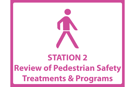

# **STATION 2 Review of Pedestrian Safety Treatments & Programs**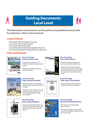

# **Guiding Documents: Local Level**



The following list of documents set the policies and guidelines that provide for pedestrian safety at the local level:

# **Council Policies**

Council Policy 200-07 (Pedestrian Crossing) Council Policy 200-06 (Traffic Signals) Council Policy 200-08 (Stop Signs) Council Policy 800-01 (Pedestrian Separation Structure) R-251799 (School Pedestrian Safety Policies and Warrants)

# **Plans and Manuals**



#### **City of San Diego Pedestrian Master Plan**

- Guides how the City plans and implements pedestrian improvement projects
- · Identifies and prioritizes proposed pedestrian projects



### **City of San Diego Street Design Manual**

- Provides information and guidance for the design of public right-of-way
- · Pedestrian reference topics include street design, intersection design, sight distance, pedestrian crossings, sidewalks for overpasses, and pedestrian refuge islands



### **City of San Diego Traffic Calming Handbook**

- · Intended to improve neighborhood safety through roadway improvement strategies
- Provides a tool for residents, City staff and other interested parties to use when developing effective traffic calming plans



### **City of San Diego Traffic Impact Study Manual**

• Provides guidance on how to prepare traffic impact studies in San Diego



### **City of San Diego School Safety Guidelines**

· Groups all school-related policies into one document for better coordination between affected departments and agencies



#### **City of San Diego General Plan Mobility Element**

- Plans for the City's transportation goals and needs
- · Identifies the proposed transportation network and strategies, designed to meet future travel needs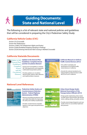

# **Guiding Documents: State and National Level**



The following is a list of relevant state and national policies and guidelines that will be considered in preparing the City's Pedestrian Safety Study:

# **California Vehicle Codes (CVC)**

# **California Statwide Documents**

# **National Level References**

| The Professions Substy Guide and<br><b>Countriescusser Selection Sectem is</b><br>intended to provide practitioners with<br>the latest information available lis<br>experience the trailerty and mod<br>on who walk. The online<br>oth the uper with a l<br>removement deficits<br>treatments to improve pedin<br>safety and/or mubility based on use<br>epst about a specific beaton | <b>GUIDE</b><br>Background<br>Understand what is needed to researc a<br>viable professions system.<br><b>Statistics</b><br>Learn about the factors related to<br>theyedestrum crash problem. |
|---------------------------------------------------------------------------------------------------------------------------------------------------------------------------------------------------------------------------------------------------------------------------------------------------------------------------------------------------------------------------------------|----------------------------------------------------------------------------------------------------------------------------------------------------------------------------------------------|
| <b>COUNTERMEASURES</b>                                                                                                                                                                                                                                                                                                                                                                |                                                                                                                                                                                              |
| <b>Selection Tool</b><br>Find countermensures based on<br>desired objectives.                                                                                                                                                                                                                                                                                                         | <b>Countermeasure List</b><br>A comprehensive last of all<br>countermeasures.                                                                                                                |
| <b>Selection Matrices</b><br>First counterweasares based as much<br>types and performance shierchives.                                                                                                                                                                                                                                                                                |                                                                                                                                                                                              |

Section 275 (Crosswalk) Section 467 (Pedestrians) Sections 21949-21971(Pedestrian's Rights and Duties) Section 22500 (Prohibited Stopping Standing or Parking) Section 22526 (Entering Intersection Rail Crossing or Marked Crosswalk)

#### *Update to the General Plan Guidelines: Complete Streets and the Circulation Element*

- Assists local municipalities in meeting AB 1358 requirements and integrating multimodal transportation policies
- Provides guidance on circulation element goals, policies, data collection, and implementation measures
- Sets uniform standards and specifications for all official traffic control devices in California
- Amends the national standards set in Federal Highway Administration's 2009 MUTCD for use in California

• Provides countermeasure examples based on crash types and performance objectives





• Provides street design blueprints and case studies of how to successfully implement best practices

### *California Manual on Uniform Traffic Control Devices (2012)*



### *Pedestrian Safety Guide and Countermeasure Selection System - Federal Highway Administration (FHWA)*

• Resource providing practitioners with up to date information for improving



### *Urban Street Design Guide - National Association of City Transportation Officials (2013)*

• Design guide emphasizing urban streets as public places that prioritize safe driving, transit, walking, biking, and public activity

the safety and mobility of pedestrians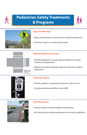### **Signs and Markings**

- Signs and markings can alert drivers to expect pedestrians
- Overuse of signs can create visual clutter

# **Marked Pedestrian Crossings**

- Marked pedestrian crossings indicate preferred crossing locations for pedestrians
- Marked crosswalks designate areas for motorists to yield to pedestrians



### **Pedestrian Signals**

- Provide guidance to pedestrians when it is safe to cross
- Can give pedestrians ability to stop traffic



### **No Parking Zones**

- Parked vehicles can limit visibility of pedestrians
- No Parking Zones improve pedestrian and motorist sightlines



# **Pedestrian Safety Treatments & Programs**







#### Source: pedbikesafe.org

#### Source: Chen Ryan Associates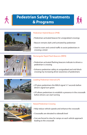

# **Pedestrian Safety Treatments** & Programs





### **Pedestrian Hybrid Beacon (PHB)**

- Pedestrian-activated beacon for unsignalized crossings
- Beacon remains dark until activated by pedestrian
- Used to warn and control traffic to assist pedestrians in crossing a street



### **Rectangular Rapid Flash Beacons (RRFB)**

- Pedestrian-activated flashing beacons indicate to drivers a pedestrian is crossing
- Enhance pedestrian safety at unsignalized and mid-block crossings by increasing driver awareness of pedestrians



# **Leading Pedestrian Interval (LPI)**

- LPI gives pedestrians the WALK signal 3-7 seconds before driver's signal turn green
- LPI allows pedestrians to establish a presence in the crosswalk before drivers can start turning

Source: Chen Ryan Associates



**Raised Pedestrian Crossing** 

- Help reduce vehicle speeds and enhance the crosswalk
- Crosswalks are elevated to sidewalk level
- Cars are forced to slow for ramps on each vehicle approach leading to the crosswalk

Source: SF.StreetsBlog.org